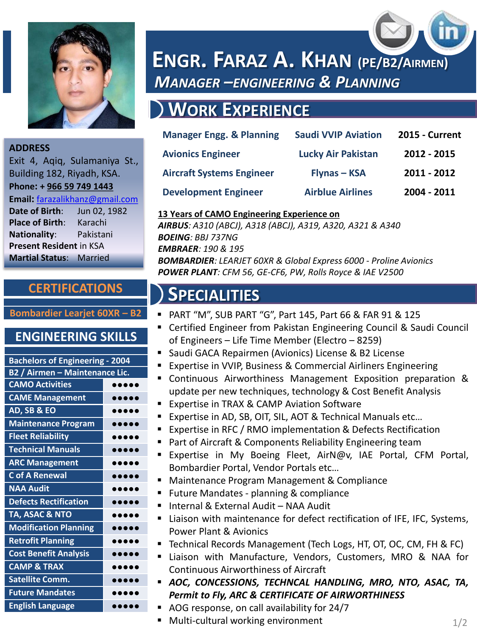

### **ADDRESS**

Exit 4, Aqiq, Sulamaniya St., Building 182, Riyadh, KSA. **Phone: + 966 59 749 1443 Email:** [farazalikhanz@gmail.com](mailto:farazalikhanz@gmail.com) **Date of Birth**: Jun 02, 1982 **Place of Birth**: Karachi **Nationality**: Pakistani **Present Resident** in KSA **Martial Status**: Married

### **CERTIFICATIONS**

### **Bombardier Learjet 60XR – B2**

### **ENGINEERING SKILLS**

| <b>Bachelors of Engineering - 2004</b> |                                |  |
|----------------------------------------|--------------------------------|--|
| <b>B2 / Airmen - Maintenance Lic.</b>  |                                |  |
| <b>CAMO Activities</b>                 |                                |  |
| <b>CAME Management</b>                 |                                |  |
| AD, SB & EO                            | 0.000                          |  |
| <b>Maintenance Program</b>             |                                |  |
| <b>Fleet Reliability</b>               |                                |  |
| <b>Technical Manuals</b>               |                                |  |
| <b>ARC Management</b>                  |                                |  |
| <b>C</b> of A Renewal                  | $\bullet\bullet\bullet\bullet$ |  |
| <b>NAA Audit</b>                       |                                |  |
| <b>Defects Rectification</b>           | $\bullet\bullet\bullet\bullet$ |  |
| TA, ASAC & NTO                         | $\bullet\bullet\bullet\bullet$ |  |
| <b>Modification Planning</b>           | .                              |  |
| <b>Retrofit Planning</b>               |                                |  |
| <b>Cost Benefit Analysis</b>           |                                |  |
| <b>CAMP &amp; TRAX</b>                 |                                |  |
| <b>Satellite Comm.</b>                 |                                |  |
| <b>Future Mandates</b>                 |                                |  |
| <b>English Language</b>                |                                |  |

# **ENGR. FARAZ A. KHAN (PE/B2/AIRMEN)** *MANAGER –ENGINEERING & PLANNING*

# **WORK EXPERIENCE**

| <b>Manager Engg. &amp; Planning</b> | <b>Saudi VVIP Aviation</b> | <b>2015 - Current</b> |
|-------------------------------------|----------------------------|-----------------------|
| <b>Avionics Engineer</b>            | <b>Lucky Air Pakistan</b>  | 2012 - 2015           |
| <b>Aircraft Systems Engineer</b>    | <b>Flynas - KSA</b>        | 2011 - 2012           |
| <b>Development Engineer</b>         | <b>Airblue Airlines</b>    | 2004 - 2011           |

### **13 Years of CAMO Engineering Experience on**

*AIRBUS: A310 (ABCJ), A318 (ABCJ), A319, A320, A321 & A340 BOEING: BBJ 737NG EMBRAER: 190 & 195 BOMBARDIER: LEARJET 60XR & Global Express 6000 - Proline Avionics POWER PLANT: CFM 56, GE-CF6, PW, Rolls Royce & IAE V2500*

## **SPECIALITIES**

- PART "M", SUB PART "G", Part 145, Part 66 & FAR 91 & 125
- Certified Engineer from Pakistan Engineering Council & Saudi Council of Engineers – Life Time Member (Electro – 8259)
- Saudi GACA Repairmen (Avionics) License & B2 License
- Expertise in VVIP, Business & Commercial Airliners Engineering
- Continuous Airworthiness Management Exposition preparation & update per new techniques, technology & Cost Benefit Analysis
- **Expertise in TRAX & CAMP Aviation Software**
- Expertise in AD, SB, OIT, SIL, AOT & Technical Manuals etc...
- Expertise in RFC / RMO implementation & Defects Rectification
- Part of Aircraft & Components Reliability Engineering team
- Expertise in My Boeing Fleet, AirN@v, IAE Portal, CFM Portal, Bombardier Portal, Vendor Portals etc…
- Maintenance Program Management & Compliance
- Future Mandates planning & compliance
- Internal & External Audit NAA Audit
- Liaison with maintenance for defect rectification of IFE, IFC, Systems, Power Plant & Avionics
- Technical Records Management (Tech Logs, HT, OT, OC, CM, FH & FC)
- Liaison with Manufacture, Vendors, Customers, MRO & NAA for Continuous Airworthiness of Aircraft
- *AOC, CONCESSIONS, TECHNCAL HANDLING, MRO, NTO, ASAC, TA, Permit to Fly, ARC & CERTIFICATE OF AIRWORTHINESS*
	- AOG response, on call availability for 24/7
- $\blacksquare$  Multi-cultural working environment  $1/2$